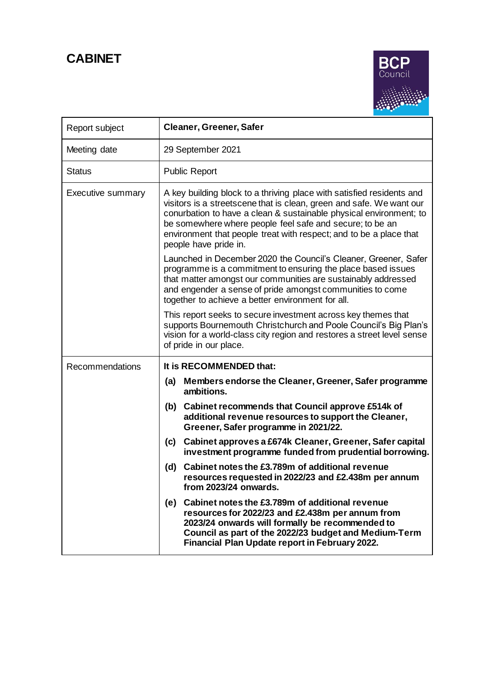**CABINET**



| Report subject           | <b>Cleaner, Greener, Safer</b>                                                                                                                                                                                                                                                                                                                                                 |  |  |  |  |  |
|--------------------------|--------------------------------------------------------------------------------------------------------------------------------------------------------------------------------------------------------------------------------------------------------------------------------------------------------------------------------------------------------------------------------|--|--|--|--|--|
| Meeting date             | 29 September 2021                                                                                                                                                                                                                                                                                                                                                              |  |  |  |  |  |
| <b>Status</b>            | <b>Public Report</b>                                                                                                                                                                                                                                                                                                                                                           |  |  |  |  |  |
| <b>Executive summary</b> | A key building block to a thriving place with satisfied residents and<br>visitors is a streetscene that is clean, green and safe. We want our<br>conurbation to have a clean & sustainable physical environment; to<br>be somewhere where people feel safe and secure; to be an<br>environment that people treat with respect; and to be a place that<br>people have pride in. |  |  |  |  |  |
|                          | Launched in December 2020 the Council's Cleaner, Greener, Safer<br>programme is a commitment to ensuring the place based issues<br>that matter amongst our communities are sustainably addressed<br>and engender a sense of pride amongst communities to come<br>together to achieve a better environment for all.                                                             |  |  |  |  |  |
|                          | This report seeks to secure investment across key themes that<br>supports Bournemouth Christchurch and Poole Council's Big Plan's<br>vision for a world-class city region and restores a street level sense<br>of pride in our place.                                                                                                                                          |  |  |  |  |  |
| <b>Recommendations</b>   | It is RECOMMENDED that:                                                                                                                                                                                                                                                                                                                                                        |  |  |  |  |  |
|                          | Members endorse the Cleaner, Greener, Safer programme<br>(a)<br>ambitions.                                                                                                                                                                                                                                                                                                     |  |  |  |  |  |
|                          | Cabinet recommends that Council approve £514k of<br>(b)<br>additional revenue resources to support the Cleaner,<br>Greener, Safer programme in 2021/22.                                                                                                                                                                                                                        |  |  |  |  |  |
|                          | Cabinet approves a £674k Cleaner, Greener, Safer capital<br>(c)<br>investment programme funded from prudential borrowing.                                                                                                                                                                                                                                                      |  |  |  |  |  |
|                          | Cabinet notes the £3.789m of additional revenue<br>(d)<br>resources requested in 2022/23 and £2.438m per annum<br>from 2023/24 onwards.                                                                                                                                                                                                                                        |  |  |  |  |  |
|                          | (e) Cabinet notes the £3.789m of additional revenue<br>resources for 2022/23 and £2.438m per annum from<br>2023/24 onwards will formally be recommended to<br>Council as part of the 2022/23 budget and Medium-Term<br>Financial Plan Update report in February 2022.                                                                                                          |  |  |  |  |  |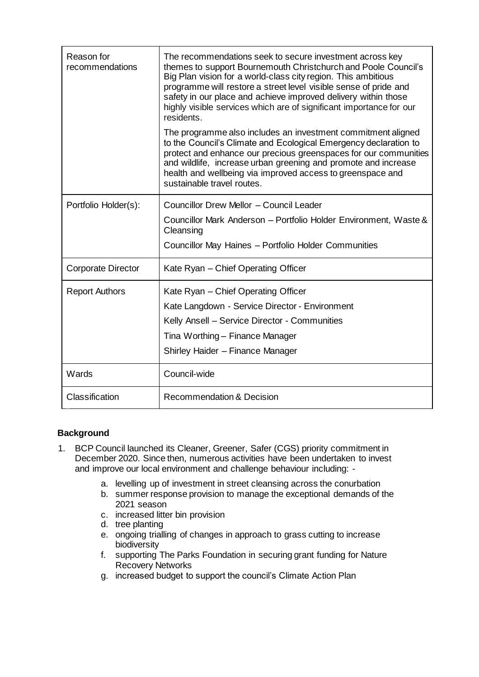| Reason for<br>recommendations | The recommendations seek to secure investment across key<br>themes to support Bournemouth Christchurch and Poole Council's<br>Big Plan vision for a world-class city region. This ambitious<br>programme will restore a street level visible sense of pride and<br>safety in our place and achieve improved delivery within those<br>highly visible services which are of significant importance for our<br>residents. |
|-------------------------------|------------------------------------------------------------------------------------------------------------------------------------------------------------------------------------------------------------------------------------------------------------------------------------------------------------------------------------------------------------------------------------------------------------------------|
|                               | The programme also includes an investment commitment aligned<br>to the Council's Climate and Ecological Emergency declaration to<br>protect and enhance our precious greenspaces for our communities<br>and wildlife, increase urban greening and promote and increase<br>health and wellbeing via improved access to greenspace and<br>sustainable travel routes.                                                     |
| Portfolio Holder(s):          | Councillor Drew Mellor - Council Leader                                                                                                                                                                                                                                                                                                                                                                                |
|                               | Councillor Mark Anderson - Portfolio Holder Environment, Waste &<br>Cleansing                                                                                                                                                                                                                                                                                                                                          |
|                               | Councillor May Haines - Portfolio Holder Communities                                                                                                                                                                                                                                                                                                                                                                   |
| <b>Corporate Director</b>     | Kate Ryan - Chief Operating Officer                                                                                                                                                                                                                                                                                                                                                                                    |
| <b>Report Authors</b>         | Kate Ryan – Chief Operating Officer                                                                                                                                                                                                                                                                                                                                                                                    |
|                               | Kate Langdown - Service Director - Environment                                                                                                                                                                                                                                                                                                                                                                         |
|                               | Kelly Ansell - Service Director - Communities                                                                                                                                                                                                                                                                                                                                                                          |
|                               | Tina Worthing - Finance Manager                                                                                                                                                                                                                                                                                                                                                                                        |
|                               | Shirley Haider - Finance Manager                                                                                                                                                                                                                                                                                                                                                                                       |
| Wards                         | Council-wide                                                                                                                                                                                                                                                                                                                                                                                                           |
| Classification                | <b>Recommendation &amp; Decision</b>                                                                                                                                                                                                                                                                                                                                                                                   |

# **Background**

- 1. BCP Council launched its Cleaner, Greener, Safer (CGS) priority commitment in December 2020. Since then, numerous activities have been undertaken to invest and improve our local environment and challenge behaviour including:
	- a. levelling up of investment in street cleansing across the conurbation
	- b. summer response provision to manage the exceptional demands of the 2021 season
	- c. increased litter bin provision
	- d. tree planting
	- e. ongoing trialling of changes in approach to grass cutting to increase biodiversity
	- f. supporting The Parks Foundation in securing grant funding for Nature Recovery Networks
	- g. increased budget to support the council's Climate Action Plan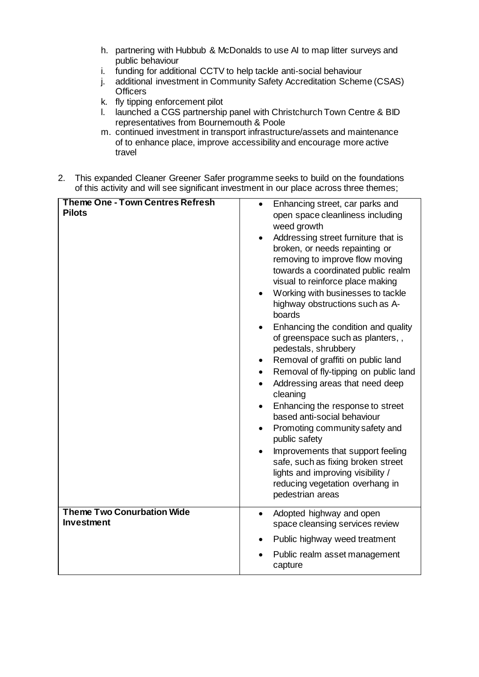- h. partnering with Hubbub & McDonalds to use AI to map litter surveys and public behaviour
- i. funding for additional CCTV to help tackle anti-social behaviour
- j. additional investment in Community Safety Accreditation Scheme (CSAS) **Officers**
- k. fly tipping enforcement pilot
- l. launched a CGS partnership panel with Christchurch Town Centre & BID representatives from Bournemouth & Poole
- m. continued investment in transport infrastructure/assets and maintenance of to enhance place, improve accessibility and encourage more active travel
- 2. This expanded Cleaner Greener Safer programme seeks to build on the foundations of this activity and will see significant investment in our place across three themes;

| <b>Theme One - Town Centres Refresh</b> | Enhancing street, car parks and<br>$\bullet$                                                                                                                        |
|-----------------------------------------|---------------------------------------------------------------------------------------------------------------------------------------------------------------------|
| <b>Pilots</b>                           | open space cleanliness including<br>weed growth                                                                                                                     |
|                                         | Addressing street furniture that is<br>broken, or needs repainting or<br>removing to improve flow moving<br>towards a coordinated public realm                      |
|                                         | visual to reinforce place making<br>Working with businesses to tackle<br>highway obstructions such as A-<br>boards                                                  |
|                                         | Enhancing the condition and quality<br>$\bullet$<br>of greenspace such as planters,,<br>pedestals, shrubbery                                                        |
|                                         | Removal of graffiti on public land<br>$\bullet$                                                                                                                     |
|                                         | Removal of fly-tipping on public land<br>$\bullet$<br>Addressing areas that need deep<br>$\bullet$<br>cleaning                                                      |
|                                         | Enhancing the response to street<br>$\bullet$<br>based anti-social behaviour                                                                                        |
|                                         | Promoting community safety and<br>$\bullet$<br>public safety                                                                                                        |
|                                         | Improvements that support feeling<br>safe, such as fixing broken street<br>lights and improving visibility /<br>reducing vegetation overhang in<br>pedestrian areas |
| <b>Theme Two Conurbation Wide</b>       | Adopted highway and open<br>$\bullet$                                                                                                                               |
| <b>Investment</b>                       | space cleansing services review                                                                                                                                     |
|                                         | Public highway weed treatment<br>$\bullet$                                                                                                                          |
|                                         | Public realm asset management<br>$\bullet$<br>capture                                                                                                               |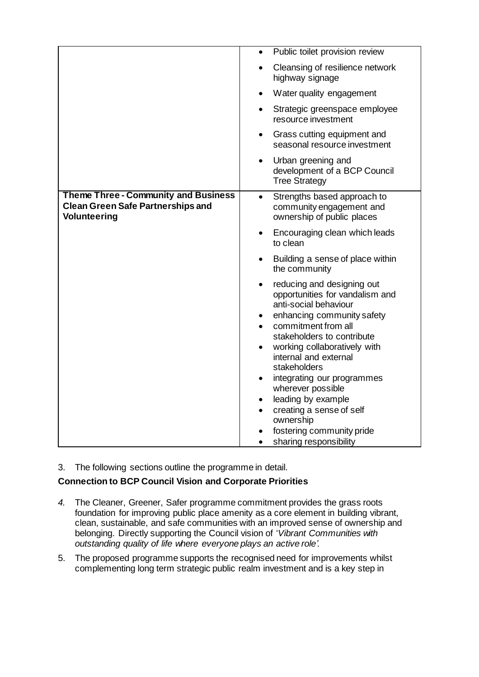|                                                                                                                | Public toilet provision review<br>$\bullet$                                                                                                                                                                                                                                                                                                                                                                                                                                     |
|----------------------------------------------------------------------------------------------------------------|---------------------------------------------------------------------------------------------------------------------------------------------------------------------------------------------------------------------------------------------------------------------------------------------------------------------------------------------------------------------------------------------------------------------------------------------------------------------------------|
|                                                                                                                | Cleansing of resilience network<br>highway signage                                                                                                                                                                                                                                                                                                                                                                                                                              |
|                                                                                                                | Water quality engagement<br>$\bullet$                                                                                                                                                                                                                                                                                                                                                                                                                                           |
|                                                                                                                | Strategic greenspace employee<br>resource investment                                                                                                                                                                                                                                                                                                                                                                                                                            |
|                                                                                                                | Grass cutting equipment and<br>$\bullet$<br>seasonal resource investment                                                                                                                                                                                                                                                                                                                                                                                                        |
|                                                                                                                | Urban greening and<br>$\bullet$<br>development of a BCP Council<br><b>Tree Strategy</b>                                                                                                                                                                                                                                                                                                                                                                                         |
| <b>Theme Three - Community and Business</b><br><b>Clean Green Safe Partnerships and</b><br><b>Volunteering</b> | Strengths based approach to<br>$\bullet$<br>community engagement and<br>ownership of public places                                                                                                                                                                                                                                                                                                                                                                              |
|                                                                                                                | Encouraging clean which leads<br>to clean                                                                                                                                                                                                                                                                                                                                                                                                                                       |
|                                                                                                                | Building a sense of place within<br>the community                                                                                                                                                                                                                                                                                                                                                                                                                               |
|                                                                                                                | reducing and designing out<br>$\bullet$<br>opportunities for vandalism and<br>anti-social behaviour<br>enhancing community safety<br>$\bullet$<br>commitment from all<br>stakeholders to contribute<br>working collaboratively with<br>internal and external<br>stakeholders<br>integrating our programmes<br>wherever possible<br>leading by example<br>$\bullet$<br>creating a sense of self<br>ownership<br>fostering community pride<br>sharing responsibility<br>$\bullet$ |

3. The following sections outline the programme in detail.

# **Connection to BCP Council Vision and Corporate Priorities**

- *4.* The Cleaner, Greener, Safer programme commitment provides the grass roots foundation for improving public place amenity as a core element in building vibrant, clean, sustainable, and safe communities with an improved sense of ownership and belonging. Directly supporting the Council vision of '*Vibrant Communities with outstanding quality of life where everyone plays an active role'.*
- 5. The proposed programme supports the recognised need for improvements whilst complementing long term strategic public realm investment and is a key step in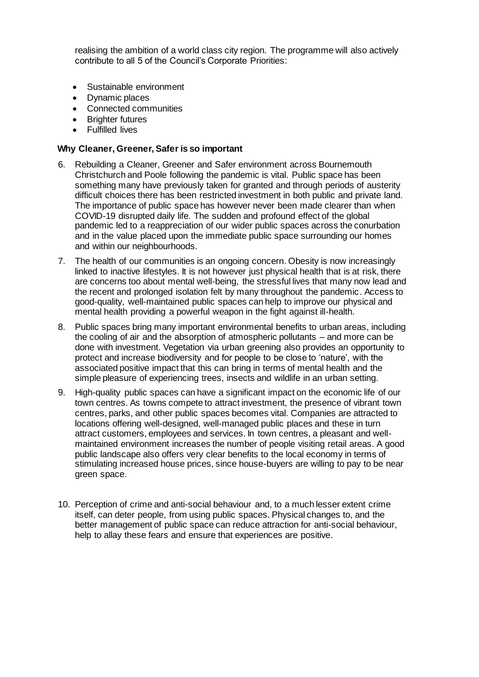realising the ambition of a world class city region. The programme will also actively contribute to all 5 of the Council's Corporate Priorities:

- Sustainable environment
- Dynamic places
- Connected communities
- Brighter futures
- Fulfilled lives

#### **Why Cleaner, Greener, Safer is so important**

- 6. Rebuilding a Cleaner, Greener and Safer environment across Bournemouth Christchurch and Poole following the pandemic is vital. Public space has been something many have previously taken for granted and through periods of austerity difficult choices there has been restricted investment in both public and private land. The importance of public space has however never been made clearer than when COVID-19 disrupted daily life. The sudden and profound effect of the global pandemic led to a reappreciation of our wider public spaces across the conurbation and in the value placed upon the immediate public space surrounding our homes and within our neighbourhoods.
- 7. The health of our communities is an ongoing concern. Obesity is now increasingly linked to inactive lifestyles. It is not however just physical health that is at risk, there are concerns too about mental well-being, the stressful lives that many now lead and the recent and prolonged isolation felt by many throughout the pandemic. Access to good-quality, well-maintained public spaces can help to improve our physical and mental health providing a powerful weapon in the fight against ill-health.
- 8. Public spaces bring many important environmental benefits to urban areas, including the cooling of air and the absorption of atmospheric pollutants – and more can be done with investment. Vegetation via urban greening also provides an opportunity to protect and increase biodiversity and for people to be close to 'nature', with the associated positive impact that this can bring in terms of mental health and the simple pleasure of experiencing trees, insects and wildlife in an urban setting.
- 9. High-quality public spaces can have a significant impact on the economic life of our town centres. As towns compete to attract investment, the presence of vibrant town centres, parks, and other public spaces becomes vital. Companies are attracted to locations offering well-designed, well-managed public places and these in turn attract customers, employees and services. In town centres, a pleasant and wellmaintained environment increases the number of people visiting retail areas. A good public landscape also offers very clear benefits to the local economy in terms of stimulating increased house prices, since house-buyers are willing to pay to be near green space.
- 10. Perception of crime and anti-social behaviour and, to a much lesser extent crime itself, can deter people, from using public spaces. Physical changes to, and the better management of public space can reduce attraction for anti-social behaviour, help to allay these fears and ensure that experiences are positive.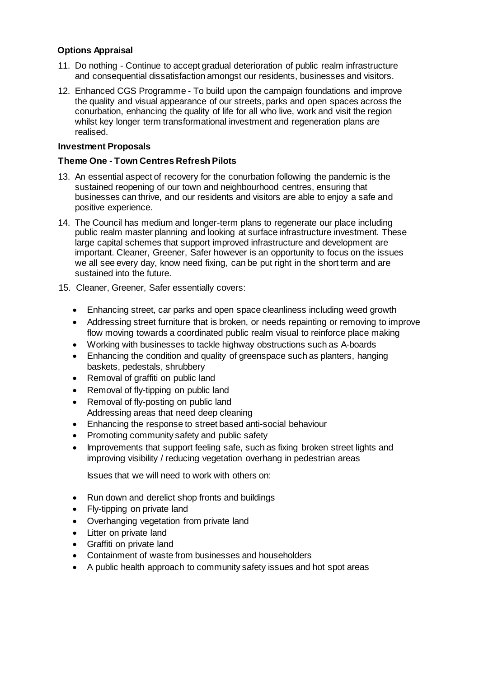# **Options Appraisal**

- 11. Do nothing Continue to accept gradual deterioration of public realm infrastructure and consequential dissatisfaction amongst our residents, businesses and visitors.
- 12. Enhanced CGS Programme To build upon the campaign foundations and improve the quality and visual appearance of our streets, parks and open spaces across the conurbation, enhancing the quality of life for all who live, work and visit the region whilst key longer term transformational investment and regeneration plans are realised.

# **Investment Proposals**

# **Theme One - Town Centres Refresh Pilots**

- 13. An essential aspect of recovery for the conurbation following the pandemic is the sustained reopening of our town and neighbourhood centres, ensuring that businesses can thrive, and our residents and visitors are able to enjoy a safe and positive experience.
- 14. The Council has medium and longer-term plans to regenerate our place including public realm master planning and looking at surface infrastructure investment. These large capital schemes that support improved infrastructure and development are important. Cleaner, Greener, Safer however is an opportunity to focus on the issues we all see every day, know need fixing, can be put right in the short term and are sustained into the future.
- 15. Cleaner, Greener, Safer essentially covers:
	- Enhancing street, car parks and open space cleanliness including weed growth
	- Addressing street furniture that is broken, or needs repainting or removing to improve flow moving towards a coordinated public realm visual to reinforce place making
	- Working with businesses to tackle highway obstructions such as A-boards
	- Enhancing the condition and quality of greenspace such as planters, hanging baskets, pedestals, shrubbery
	- Removal of graffiti on public land
	- Removal of fly-tipping on public land
	- Removal of fly-posting on public land Addressing areas that need deep cleaning
	- Enhancing the response to street based anti-social behaviour
	- Promoting community safety and public safety
	- Improvements that support feeling safe, such as fixing broken street lights and improving visibility / reducing vegetation overhang in pedestrian areas

Issues that we will need to work with others on:

- Run down and derelict shop fronts and buildings
- Fly-tipping on private land
- Overhanging vegetation from private land
- Litter on private land
- Graffiti on private land
- Containment of waste from businesses and householders
- A public health approach to community safety issues and hot spot areas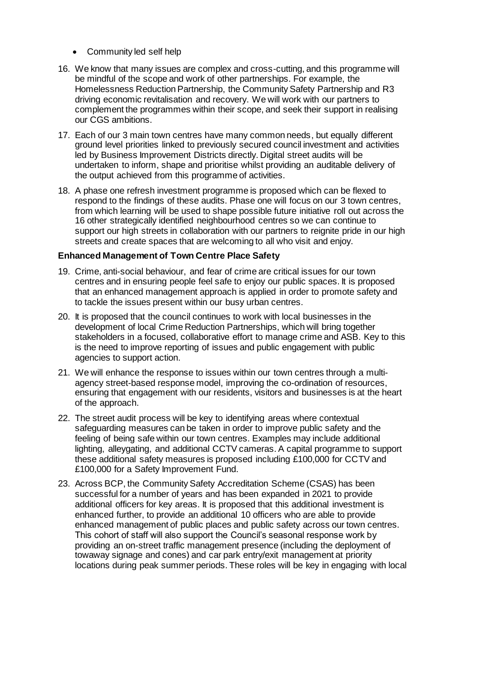- Community led self help
- 16. We know that many issues are complex and cross-cutting, and this programme will be mindful of the scope and work of other partnerships. For example, the Homelessness Reduction Partnership, the Community Safety Partnership and R3 driving economic revitalisation and recovery. We will work with our partners to complement the programmes within their scope, and seek their support in realising our CGS ambitions.
- 17. Each of our 3 main town centres have many common needs, but equally different ground level priorities linked to previously secured council investment and activities led by Business Improvement Districts directly. Digital street audits will be undertaken to inform, shape and prioritise whilst providing an auditable delivery of the output achieved from this programme of activities.
- 18. A phase one refresh investment programme is proposed which can be flexed to respond to the findings of these audits. Phase one will focus on our 3 town centres, from which learning will be used to shape possible future initiative roll out across the 16 other strategically identified neighbourhood centres so we can continue to support our high streets in collaboration with our partners to reignite pride in our high streets and create spaces that are welcoming to all who visit and enjoy.

#### **Enhanced Management of Town Centre Place Safety**

- 19. Crime, anti-social behaviour, and fear of crime are critical issues for our town centres and in ensuring people feel safe to enjoy our public spaces. It is proposed that an enhanced management approach is applied in order to promote safety and to tackle the issues present within our busy urban centres.
- 20. It is proposed that the council continues to work with local businesses in the development of local Crime Reduction Partnerships, which will bring together stakeholders in a focused, collaborative effort to manage crime and ASB. Key to this is the need to improve reporting of issues and public engagement with public agencies to support action.
- 21. We will enhance the response to issues within our town centres through a multiagency street-based response model, improving the co-ordination of resources, ensuring that engagement with our residents, visitors and businesses is at the heart of the approach.
- 22. The street audit process will be key to identifying areas where contextual safeguarding measures can be taken in order to improve public safety and the feeling of being safe within our town centres. Examples may include additional lighting, alleygating, and additional CCTV cameras. A capital programme to support these additional safety measures is proposed including £100,000 for CCTV and £100,000 for a Safety Improvement Fund.
- 23. Across BCP, the Community Safety Accreditation Scheme (CSAS) has been successful for a number of years and has been expanded in 2021 to provide additional officers for key areas. It is proposed that this additional investment is enhanced further, to provide an additional 10 officers who are able to provide enhanced management of public places and public safety across our town centres. This cohort of staff will also support the Council's seasonal response work by providing an on-street traffic management presence (including the deployment of towaway signage and cones) and car park entry/exit management at priority locations during peak summer periods. These roles will be key in engaging with local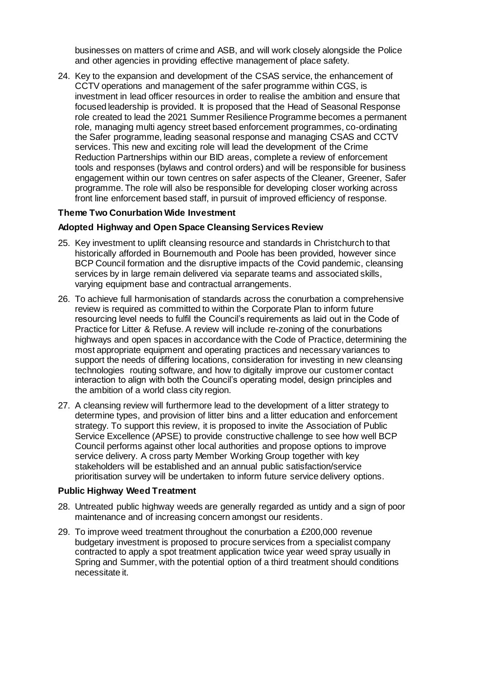businesses on matters of crime and ASB, and will work closely alongside the Police and other agencies in providing effective management of place safety.

24. Key to the expansion and development of the CSAS service, the enhancement of CCTV operations and management of the safer programme within CGS, is investment in lead officer resources in order to realise the ambition and ensure that focused leadership is provided. It is proposed that the Head of Seasonal Response role created to lead the 2021 Summer Resilience Programme becomes a permanent role, managing multi agency street based enforcement programmes, co-ordinating the Safer programme, leading seasonal response and managing CSAS and CCTV services. This new and exciting role will lead the development of the Crime Reduction Partnerships within our BID areas, complete a review of enforcement tools and responses (bylaws and control orders) and will be responsible for business engagement within our town centres on safer aspects of the Cleaner, Greener, Safer programme. The role will also be responsible for developing closer working across front line enforcement based staff, in pursuit of improved efficiency of response.

#### **Theme Two Conurbation Wide Investment**

#### **Adopted Highway and Open Space Cleansing Services Review**

- 25. Key investment to uplift cleansing resource and standards in Christchurch to that historically afforded in Bournemouth and Poole has been provided, however since BCP Council formation and the disruptive impacts of the Covid pandemic, cleansing services by in large remain delivered via separate teams and associated skills, varying equipment base and contractual arrangements.
- 26. To achieve full harmonisation of standards across the conurbation a comprehensive review is required as committed to within the Corporate Plan to inform future resourcing level needs to fulfil the Council's requirements as laid out in the Code of Practice for Litter & Refuse. A review will include re-zoning of the conurbations highways and open spaces in accordance with the Code of Practice, determining the most appropriate equipment and operating practices and necessary variances to support the needs of differing locations, consideration for investing in new cleansing technologies routing software, and how to digitally improve our customer contact interaction to align with both the Council's operating model, design principles and the ambition of a world class city region.
- 27. A cleansing review will furthermore lead to the development of a litter strategy to determine types, and provision of litter bins and a litter education and enforcement strategy. To support this review, it is proposed to invite the Association of Public Service Excellence (APSE) to provide constructive challenge to see how well BCP Council performs against other local authorities and propose options to improve service delivery. A cross party Member Working Group together with key stakeholders will be established and an annual public satisfaction/service prioritisation survey will be undertaken to inform future service delivery options.

#### **Public Highway Weed Treatment**

- 28. Untreated public highway weeds are generally regarded as untidy and a sign of poor maintenance and of increasing concern amongst our residents.
- 29. To improve weed treatment throughout the conurbation a £200,000 revenue budgetary investment is proposed to procure services from a specialist company contracted to apply a spot treatment application twice year weed spray usually in Spring and Summer, with the potential option of a third treatment should conditions necessitate it.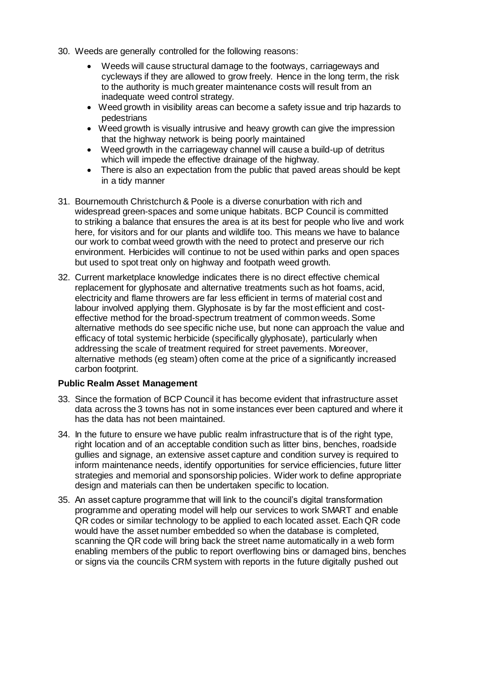- 30. Weeds are generally controlled for the following reasons:
	- Weeds will cause structural damage to the footways, carriageways and cycleways if they are allowed to grow freely. Hence in the long term, the risk to the authority is much greater maintenance costs will result from an inadequate weed control strategy.
	- Weed growth in visibility areas can become a safety issue and trip hazards to pedestrians
	- Weed growth is visually intrusive and heavy growth can give the impression that the highway network is being poorly maintained
	- Weed growth in the carriageway channel will cause a build-up of detritus which will impede the effective drainage of the highway.
	- There is also an expectation from the public that paved areas should be kept in a tidy manner
- 31. Bournemouth Christchurch & Poole is a diverse conurbation with rich and widespread green-spaces and some unique habitats. BCP Council is committed to striking a balance that ensures the area is at its best for people who live and work here, for visitors and for our plants and wildlife too. This means we have to balance our work to combat weed growth with the need to protect and preserve our rich environment. Herbicides will continue to not be used within parks and open spaces but used to spot treat only on highway and footpath weed growth.
- 32. Current marketplace knowledge indicates there is no direct effective chemical replacement for glyphosate and alternative treatments such as hot foams, acid, electricity and flame throwers are far less efficient in terms of material cost and labour involved applying them. Glyphosate is by far the most efficient and costeffective method for the broad-spectrum treatment of common weeds. Some alternative methods do see specific niche use, but none can approach the value and efficacy of total systemic herbicide (specifically glyphosate), particularly when addressing the scale of treatment required for street pavements. Moreover, alternative methods (eg steam) often come at the price of a significantly increased carbon footprint.

#### **Public Realm Asset Management**

- 33. Since the formation of BCP Council it has become evident that infrastructure asset data across the 3 towns has not in some instances ever been captured and where it has the data has not been maintained.
- 34. In the future to ensure we have public realm infrastructure that is of the right type, right location and of an acceptable condition such as litter bins, benches, roadside gullies and signage, an extensive asset capture and condition survey is required to inform maintenance needs, identify opportunities for service efficiencies, future litter strategies and memorial and sponsorship policies. Wider work to define appropriate design and materials can then be undertaken specific to location.
- 35. An asset capture programme that will link to the council's digital transformation programme and operating model will help our services to work SMART and enable QR codes or similar technology to be applied to each located asset. Each QR code would have the asset number embedded so when the database is completed, scanning the QR code will bring back the street name automatically in a web form enabling members of the public to report overflowing bins or damaged bins, benches or signs via the councils CRM system with reports in the future digitally pushed out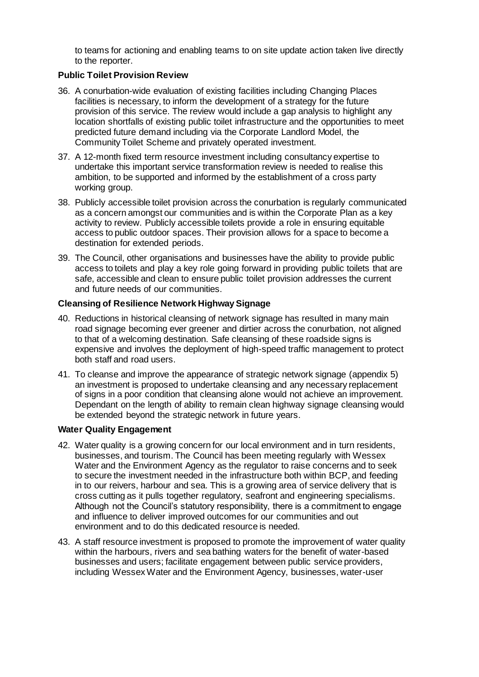to teams for actioning and enabling teams to on site update action taken live directly to the reporter.

# **Public Toilet Provision Review**

- 36. A conurbation-wide evaluation of existing facilities including Changing Places facilities is necessary, to inform the development of a strategy for the future provision of this service. The review would include a gap analysis to highlight any location shortfalls of existing public toilet infrastructure and the opportunities to meet predicted future demand including via the Corporate Landlord Model, the Community Toilet Scheme and privately operated investment.
- 37. A 12-month fixed term resource investment including consultancy expertise to undertake this important service transformation review is needed to realise this ambition, to be supported and informed by the establishment of a cross party working group.
- 38. Publicly accessible toilet provision across the conurbation is regularly communicated as a concern amongst our communities and is within the Corporate Plan as a key activity to review. Publicly accessible toilets provide a role in ensuring equitable access to public outdoor spaces. Their provision allows for a space to become a destination for extended periods.
- 39. The Council, other organisations and businesses have the ability to provide public access to toilets and play a key role going forward in providing public toilets that are safe, accessible and clean to ensure public toilet provision addresses the current and future needs of our communities.

# **Cleansing of Resilience Network Highway Signage**

- 40. Reductions in historical cleansing of network signage has resulted in many main road signage becoming ever greener and dirtier across the conurbation, not aligned to that of a welcoming destination. Safe cleansing of these roadside signs is expensive and involves the deployment of high-speed traffic management to protect both staff and road users.
- 41. To cleanse and improve the appearance of strategic network signage (appendix 5) an investment is proposed to undertake cleansing and any necessary replacement of signs in a poor condition that cleansing alone would not achieve an improvement. Dependant on the length of ability to remain clean highway signage cleansing would be extended beyond the strategic network in future years.

#### **Water Quality Engagement**

- 42. Water quality is a growing concern for our local environment and in turn residents, businesses, and tourism. The Council has been meeting regularly with Wessex Water and the Environment Agency as the regulator to raise concerns and to seek to secure the investment needed in the infrastructure both within BCP, and feeding in to our reivers, harbour and sea. This is a growing area of service delivery that is cross cutting as it pulls together regulatory, seafront and engineering specialisms. Although not the Council's statutory responsibility, there is a commitment to engage and influence to deliver improved outcomes for our communities and out environment and to do this dedicated resource is needed.
- 43. A staff resource investment is proposed to promote the improvement of water quality within the harbours, rivers and sea bathing waters for the benefit of water-based businesses and users; facilitate engagement between public service providers, including Wessex Water and the Environment Agency, businesses, water-user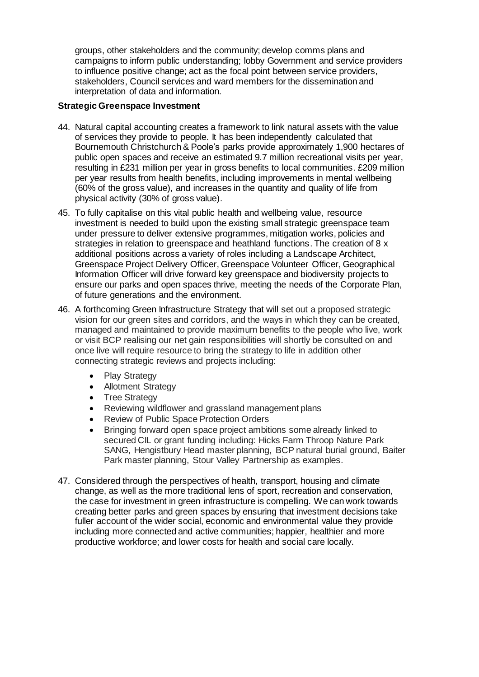groups, other stakeholders and the community; develop comms plans and campaigns to inform public understanding; lobby Government and service providers to influence positive change; act as the focal point between service providers, stakeholders, Council services and ward members for the dissemination and interpretation of data and information.

#### **Strategic Greenspace Investment**

- 44. Natural capital accounting creates a framework to link natural assets with the value of services they provide to people. It has been independently calculated that Bournemouth Christchurch & Poole's parks provide approximately 1,900 hectares of public open spaces and receive an estimated 9.7 million recreational visits per year, resulting in £231 million per year in gross benefits to local communities. £209 million per year results from health benefits, including improvements in mental wellbeing (60% of the gross value), and increases in the quantity and quality of life from physical activity (30% of gross value).
- 45. To fully capitalise on this vital public health and wellbeing value, resource investment is needed to build upon the existing small strategic greenspace team under pressure to deliver extensive programmes, mitigation works, policies and strategies in relation to greenspace and heathland functions. The creation of 8 x additional positions across a variety of roles including a Landscape Architect, Greenspace Project Delivery Officer, Greenspace Volunteer Officer, Geographical Information Officer will drive forward key greenspace and biodiversity projects to ensure our parks and open spaces thrive, meeting the needs of the Corporate Plan, of future generations and the environment.
- 46. A forthcoming Green Infrastructure Strategy that will set out a proposed strategic vision for our green sites and corridors, and the ways in which they can be created, managed and maintained to provide maximum benefits to the people who live, work or visit BCP realising our net gain responsibilities will shortly be consulted on and once live will require resource to bring the strategy to life in addition other connecting strategic reviews and projects including:
	- Play Strategy
	- Allotment Strategy
	- Tree Strategy
	- Reviewing wildflower and grassland management plans
	- Review of Public Space Protection Orders
	- Bringing forward open space project ambitions some already linked to secured CIL or grant funding including: Hicks Farm Throop Nature Park SANG, Hengistbury Head master planning, BCP natural burial ground, Baiter Park master planning, Stour Valley Partnership as examples.
- 47. Considered through the perspectives of health, transport, housing and climate change, as well as the more traditional lens of sport, recreation and conservation, the case for investment in green infrastructure is compelling. We can work towards creating better parks and green spaces by ensuring that investment decisions take fuller account of the wider social, economic and environmental value they provide including more connected and active communities; happier, healthier and more productive workforce; and lower costs for health and social care locally.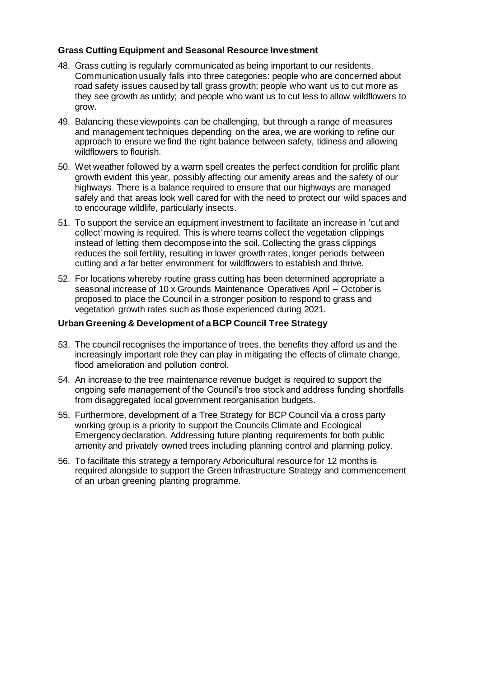# **Grass Cutting Equipment and Seasonal Resource Investment**

- 48. Grass cutting is regularly communicated as being important to our residents. Communication usually falls into three categories: people who are concerned about road safety issues caused by tall grass growth; people who want us to cut more as they see growth as untidy; and people who want us to cut less to allow wildflowers to grow.
- 49. Balancing these viewpoints can be challenging, but through a range of measures and management techniques depending on the area, we are working to refine our approach to ensure we find the right balance between safety, tidiness and allowing wildflowers to flourish.
- 50. Wet weather followed by a warm spell creates the perfect condition for prolific plant growth evident this year, possibly affecting our amenity areas and the safety of our highways. There is a balance required to ensure that our highways are managed safely and that areas look well cared for with the need to protect our wild spaces and to encourage wildlife, particularly insects.
- 51. To support the service an equipment investment to facilitate an increase in 'cut and collect' mowing is required. This is where teams collect the vegetation clippings instead of letting them decompose into the soil. Collecting the grass clippings reduces the soil fertility, resulting in lower growth rates, longer periods between cutting and a far better environment for wildflowers to establish and thrive.
- 52. For locations whereby routine grass cutting has been determined appropriate a seasonal increase of 10 x Grounds Maintenance Operatives April – October is proposed to place the Council in a stronger position to respond to grass and vegetation growth rates such as those experienced during 2021.

#### **Urban Greening & Development of a BCP Council Tree Strategy**

- 53. The council recognises the importance of trees, the benefits they afford us and the increasingly important role they can play in mitigating the effects of climate change, flood amelioration and pollution control.
- 54. An increase to the tree maintenance revenue budget is required to support the ongoing safe management of the Council's tree stock and address funding shortfalls from disaggregated local government reorganisation budgets.
- 55. Furthermore, development of a Tree Strategy for BCP Council via a cross party working group is a priority to support the Councils Climate and Ecological Emergency declaration. Addressing future planting requirements for both public amenity and privately owned trees including planning control and planning policy.
- 56. To facilitate this strategy a temporary Arboricultural resource for 12 months is required alongside to support the Green Infrastructure Strategy and commencement of an urban greening planting programme.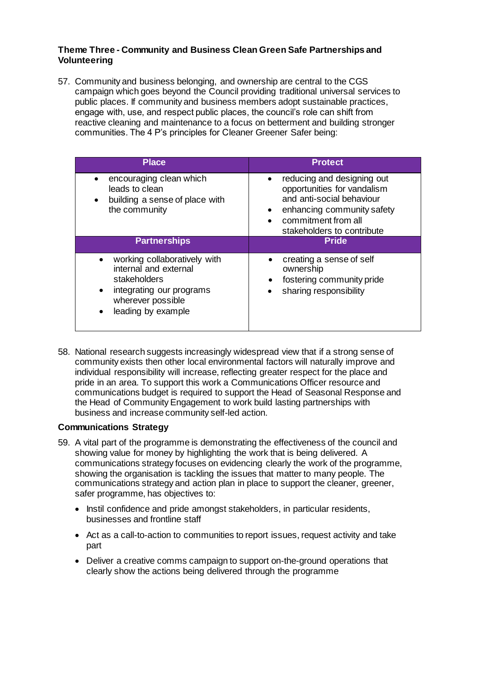#### **Theme Three - Community and Business Clean Green Safe Partnerships and Volunteering**

57. Community and business belonging, and ownership are central to the CGS campaign which goes beyond the Council providing traditional universal services to public places. If community and business members adopt sustainable practices, engage with, use, and respect public places, the council's role can shift from reactive cleaning and maintenance to a focus on betterment and building stronger communities. The 4 P's principles for Cleaner Greener Safer being:

| <b>Place</b>                                                                                                                                              | <b>Protect</b>                                                                                                                                                            |  |  |  |
|-----------------------------------------------------------------------------------------------------------------------------------------------------------|---------------------------------------------------------------------------------------------------------------------------------------------------------------------------|--|--|--|
| encouraging clean which<br>leads to clean<br>building a sense of place with<br>$\bullet$<br>the community                                                 | reducing and designing out<br>opportunities for vandalism<br>and anti-social behaviour<br>enhancing community safety<br>commitment from all<br>stakeholders to contribute |  |  |  |
| <b>Partnerships</b>                                                                                                                                       | <b>Pride</b>                                                                                                                                                              |  |  |  |
| working collaboratively with<br>internal and external<br>stakeholders<br>integrating our programs<br>$\bullet$<br>wherever possible<br>leading by example | creating a sense of self<br>ownership<br>fostering community pride<br>sharing responsibility                                                                              |  |  |  |

58. National research suggests increasingly widespread view that if a strong sense of community exists then other local environmental factors will naturally improve and individual responsibility will increase, reflecting greater respect for the place and pride in an area. To support this work a Communications Officer resource and communications budget is required to support the Head of Seasonal Response and the Head of Community Engagement to work build lasting partnerships with business and increase community self-led action.

#### **Communications Strategy**

- 59. A vital part of the programme is demonstrating the effectiveness of the council and showing value for money by highlighting the work that is being delivered. A communications strategy focuses on evidencing clearly the work of the programme, showing the organisation is tackling the issues that matter to many people. The communications strategy and action plan in place to support the cleaner, greener, safer programme, has objectives to:
	- Instil confidence and pride amongst stakeholders, in particular residents, businesses and frontline staff
	- Act as a call-to-action to communities to report issues, request activity and take part
	- Deliver a creative comms campaign to support on-the-ground operations that clearly show the actions being delivered through the programme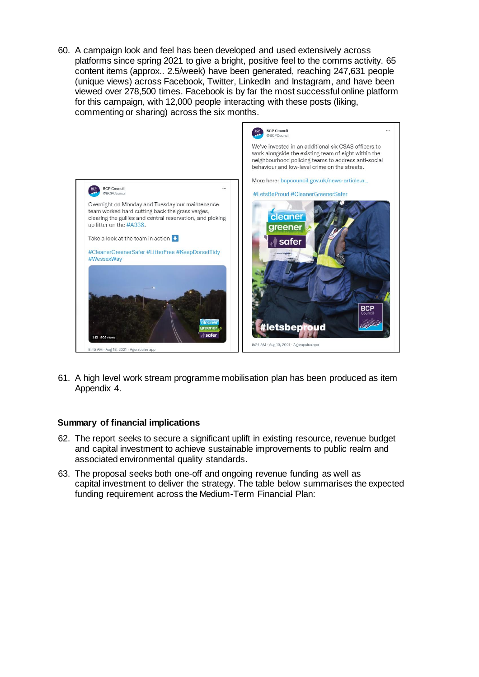60. A campaign look and feel has been developed and used extensively across platforms since spring 2021 to give a bright, positive feel to the comms activity. 65 content items (approx.. 2.5/week) have been generated, reaching 247,631 people (unique views) across Facebook, Twitter, LinkedIn and Instagram, and have been viewed over 278,500 times. Facebook is by far the most successful online platform for this campaign, with 12,000 people interacting with these posts (liking, commenting or sharing) across the six months.



61. A high level work stream programme mobilisation plan has been produced as item Appendix 4.

#### **Summary of financial implications**

- 62. The report seeks to secure a significant uplift in existing resource, revenue budget and capital investment to achieve sustainable improvements to public realm and associated environmental quality standards.
- 63. The proposal seeks both one-off and ongoing revenue funding as well as capital investment to deliver the strategy. The table below summarises the expected funding requirement across the Medium-Term Financial Plan: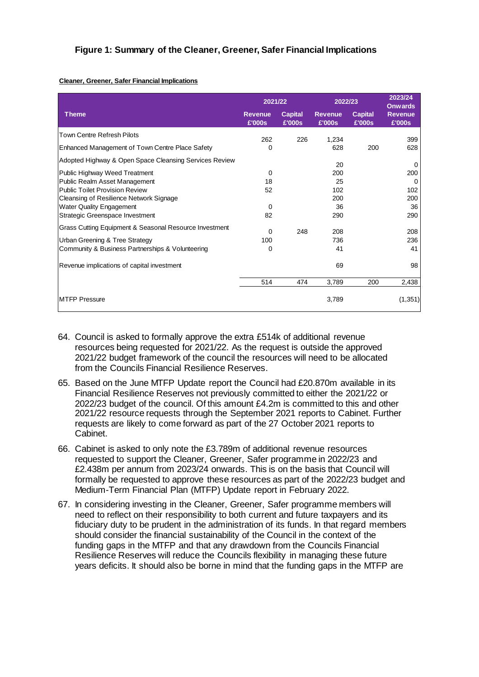#### **Figure 1: Summary of the Cleaner, Greener, Safer Financial Implications**

#### **Cleaner, Greener, Safer Financial Implications**

|                                                        | 2021/22                  |                          | 2022/23                  |                          | 2023/24<br><b>Onwards</b> |
|--------------------------------------------------------|--------------------------|--------------------------|--------------------------|--------------------------|---------------------------|
| <b>Theme</b>                                           | <b>Revenue</b><br>£'000s | <b>Capital</b><br>£'000s | <b>Revenue</b><br>£'000s | <b>Capital</b><br>£'000s | <b>Revenue</b><br>£'000s  |
| Town Centre Refresh Pilots                             | 262                      | 226                      | 1,234                    |                          | 399                       |
| Enhanced Management of Town Centre Place Safety        | 0                        |                          | 628                      | 200                      | 628                       |
| Adopted Highway & Open Space Cleansing Services Review |                          |                          | 20                       |                          | 0                         |
| Public Highway Weed Treatment                          | 0                        |                          | 200                      |                          | 200                       |
| Public Realm Asset Management                          | 18                       |                          | 25                       |                          | 0                         |
| <b>Public Toilet Provision Review</b>                  | 52                       |                          | 102                      |                          | 102                       |
| Cleansing of Resilience Network Signage                |                          |                          | 200                      |                          | 200                       |
| <b>Water Quality Engagement</b>                        | 0                        |                          | 36                       |                          | 36                        |
| Strategic Greenspace Investment                        | 82                       |                          | 290                      |                          | 290                       |
| Grass Cutting Equipment & Seasonal Resource Investment | 0                        | 248                      | 208                      |                          | 208                       |
| Urban Greening & Tree Strategy                         | 100                      |                          | 736                      |                          | 236                       |
| Community & Business Partnerships & Volunteering       | 0                        |                          | 41                       |                          | 41                        |
| Revenue implications of capital investment             |                          |                          | 69                       |                          | 98                        |
|                                                        | 514                      | 474                      | 3,789                    | 200                      | 2,438                     |
| <b>MTFP Pressure</b>                                   |                          |                          | 3,789                    |                          | (1, 351)                  |

- 64. Council is asked to formally approve the extra £514k of additional revenue resources being requested for 2021/22. As the request is outside the approved 2021/22 budget framework of the council the resources will need to be allocated from the Councils Financial Resilience Reserves.
- 65. Based on the June MTFP Update report the Council had £20.870m available in its Financial Resilience Reserves not previously committed to either the 2021/22 or 2022/23 budget of the council. Of this amount £4.2m is committed to this and other 2021/22 resource requests through the September 2021 reports to Cabinet. Further requests are likely to come forward as part of the 27 October 2021 reports to Cabinet.
- 66. Cabinet is asked to only note the £3.789m of additional revenue resources requested to support the Cleaner, Greener, Safer programme in 2022/23 and £2.438m per annum from 2023/24 onwards. This is on the basis that Council will formally be requested to approve these resources as part of the 2022/23 budget and Medium-Term Financial Plan (MTFP) Update report in February 2022.
- 67. In considering investing in the Cleaner, Greener, Safer programme members will need to reflect on their responsibility to both current and future taxpayers and its fiduciary duty to be prudent in the administration of its funds. In that regard members should consider the financial sustainability of the Council in the context of the funding gaps in the MTFP and that any drawdown from the Councils Financial Resilience Reserves will reduce the Councils flexibility in managing these future years deficits. It should also be borne in mind that the funding gaps in the MTFP are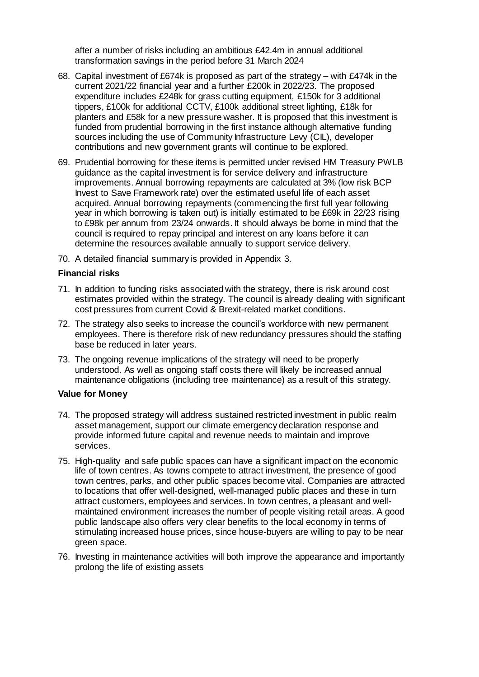after a number of risks including an ambitious £42.4m in annual additional transformation savings in the period before 31 March 2024

- 68. Capital investment of £674k is proposed as part of the strategy with £474k in the current 2021/22 financial year and a further £200k in 2022/23. The proposed expenditure includes £248k for grass cutting equipment, £150k for 3 additional tippers, £100k for additional CCTV, £100k additional street lighting, £18k for planters and £58k for a new pressure washer. It is proposed that this investment is funded from prudential borrowing in the first instance although alternative funding sources including the use of Community Infrastructure Levy (CIL), developer contributions and new government grants will continue to be explored.
- 69. Prudential borrowing for these items is permitted under revised HM Treasury PWLB guidance as the capital investment is for service delivery and infrastructure improvements. Annual borrowing repayments are calculated at 3% (low risk BCP Invest to Save Framework rate) over the estimated useful life of each asset acquired. Annual borrowing repayments (commencing the first full year following year in which borrowing is taken out) is initially estimated to be £69k in 22/23 rising to £98k per annum from 23/24 onwards. It should always be borne in mind that the council is required to repay principal and interest on any loans before it can determine the resources available annually to support service delivery.
- 70. A detailed financial summary is provided in Appendix 3.

#### **Financial risks**

- 71. In addition to funding risks associated with the strategy, there is risk around cost estimates provided within the strategy. The council is already dealing with significant cost pressures from current Covid & Brexit-related market conditions.
- 72. The strategy also seeks to increase the council's workforce with new permanent employees. There is therefore risk of new redundancy pressures should the staffing base be reduced in later years.
- 73. The ongoing revenue implications of the strategy will need to be properly understood. As well as ongoing staff costs there will likely be increased annual maintenance obligations (including tree maintenance) as a result of this strategy.

#### **Value for Money**

- 74. The proposed strategy will address sustained restricted investment in public realm asset management, support our climate emergency declaration response and provide informed future capital and revenue needs to maintain and improve services.
- 75. High-quality and safe public spaces can have a significant impact on the economic life of town centres. As towns compete to attract investment, the presence of good town centres, parks, and other public spaces become vital. Companies are attracted to locations that offer well-designed, well-managed public places and these in turn attract customers, employees and services. In town centres, a pleasant and wellmaintained environment increases the number of people visiting retail areas. A good public landscape also offers very clear benefits to the local economy in terms of stimulating increased house prices, since house-buyers are willing to pay to be near green space.
- 76. Investing in maintenance activities will both improve the appearance and importantly prolong the life of existing assets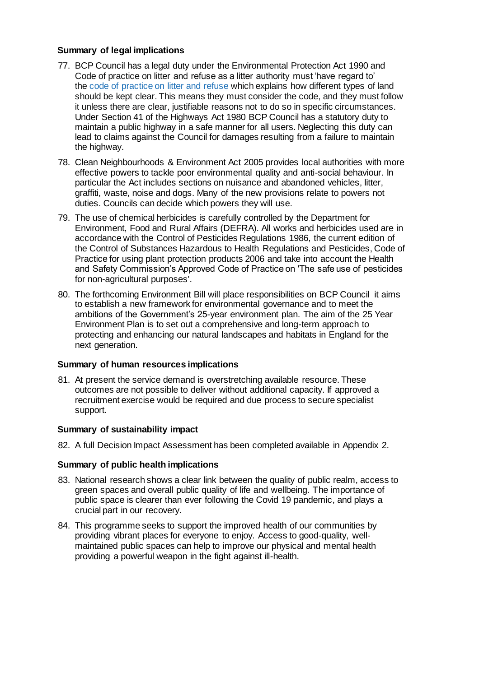# **Summary of legal implications**

- 77. BCP Council has a legal duty under the Environmental Protection Act 1990 and Code of practice on litter and refuse as a litter authority must 'have regard to' the code of [practice](https://www.gov.uk/government/publications/code-of-practice-on-litter-and-refuse) on litter and refuse which explains how different types of land should be kept clear. This means they must consider the code, and they must follow it unless there are clear, justifiable reasons not to do so in specific circumstances. Under Section 41 of the Highways Act 1980 BCP Council has a statutory duty to maintain a public highway in a safe manner for all users. Neglecting this duty can lead to claims against the Council for damages resulting from a failure to maintain the highway.
- 78. Clean Neighbourhoods & Environment Act 2005 provides local authorities with more effective powers to tackle poor environmental quality and anti-social behaviour. In particular the Act includes sections on nuisance and abandoned vehicles, litter, graffiti, waste, noise and dogs. Many of the new provisions relate to powers not duties. Councils can decide which powers they will use.
- 79. The use of chemical herbicides is carefully controlled by the Department for Environment, Food and Rural Affairs (DEFRA). All works and herbicides used are in accordance with the Control of Pesticides Regulations 1986, the current edition of the Control of Substances Hazardous to Health Regulations and Pesticides, Code of Practice for using plant protection products 2006 and take into account the Health and Safety Commission's Approved Code of Practice on 'The safe use of pesticides for non-agricultural purposes'.
- 80. The forthcoming Environment Bill will place responsibilities on BCP Council it aims to establish a new framework for environmental governance and to meet the ambitions of the Government's 25-year environment plan. The aim of the 25 Year Environment Plan is to set out a comprehensive and long-term approach to protecting and enhancing our natural landscapes and habitats in England for the next generation.

#### **Summary of human resources implications**

81. At present the service demand is overstretching available resource. These outcomes are not possible to deliver without additional capacity. If approved a recruitment exercise would be required and due process to secure specialist support.

#### **Summary of sustainability impact**

82. A full Decision Impact Assessment has been completed available in Appendix 2.

#### **Summary of public health implications**

- 83. National research shows a clear link between the quality of public realm, access to green spaces and overall public quality of life and wellbeing. The importance of public space is clearer than ever following the Covid 19 pandemic, and plays a crucial part in our recovery.
- 84. This programme seeks to support the improved health of our communities by providing vibrant places for everyone to enjoy. Access to good-quality, wellmaintained public spaces can help to improve our physical and mental health providing a powerful weapon in the fight against ill-health.